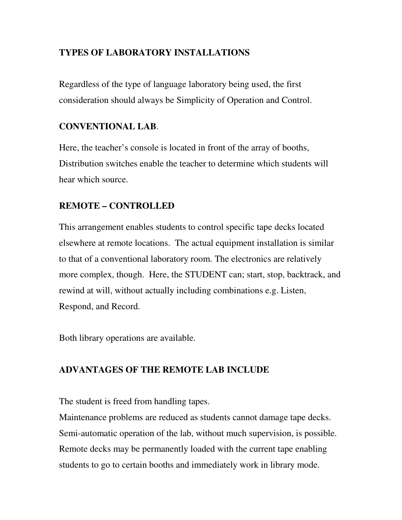# **TYPES OF LABORATORY INSTALLATIONS**

Regardless of the type of language laboratory being used, the first consideration should always be Simplicity of Operation and Control.

### **CONVENTIONAL LAB**.

Here, the teacher's console is located in front of the array of booths, Distribution switches enable the teacher to determine which students will hear which source.

## **REMOTE – CONTROLLED**

This arrangement enables students to control specific tape decks located elsewhere at remote locations. The actual equipment installation is similar to that of a conventional laboratory room. The electronics are relatively more complex, though. Here, the STUDENT can; start, stop, backtrack, and rewind at will, without actually including combinations e.g. Listen, Respond, and Record.

Both library operations are available.

## **ADVANTAGES OF THE REMOTE LAB INCLUDE**

The student is freed from handling tapes.

Maintenance problems are reduced as students cannot damage tape decks. Semi-automatic operation of the lab, without much supervision, is possible. Remote decks may be permanently loaded with the current tape enabling students to go to certain booths and immediately work in library mode.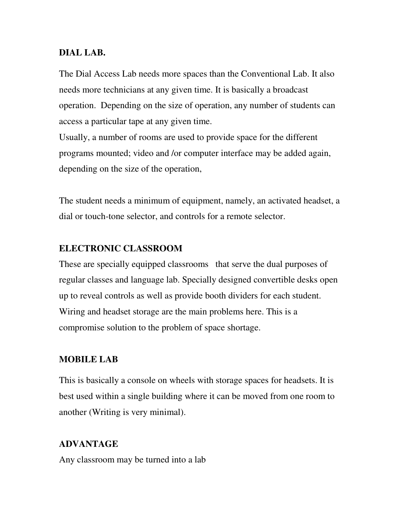### **DIAL LAB.**

The Dial Access Lab needs more spaces than the Conventional Lab. It also needs more technicians at any given time. It is basically a broadcast operation. Depending on the size of operation, any number of students can access a particular tape at any given time.

Usually, a number of rooms are used to provide space for the different programs mounted; video and /or computer interface may be added again, depending on the size of the operation,

The student needs a minimum of equipment, namely, an activated headset, a dial or touch-tone selector, and controls for a remote selector.

### **ELECTRONIC CLASSROOM**

These are specially equipped classrooms that serve the dual purposes of regular classes and language lab. Specially designed convertible desks open up to reveal controls as well as provide booth dividers for each student. Wiring and headset storage are the main problems here. This is a compromise solution to the problem of space shortage.

#### **MOBILE LAB**

This is basically a console on wheels with storage spaces for headsets. It is best used within a single building where it can be moved from one room to another (Writing is very minimal).

### **ADVANTAGE**

Any classroom may be turned into a lab